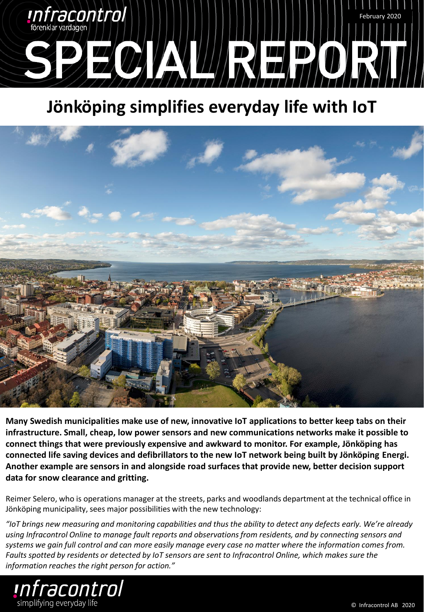

## **Jönköping simplifies everyday life with IoT**



**Many Swedish municipalities make use of new, innovative IoT applications to better keep tabs on their infrastructure. Small, cheap, low power sensors and new communications networks make it possible to connect things that were previously expensive and awkward to monitor. For example, Jönköping has connected life saving devices and defibrillators to the new IoT network being built by Jönköping Energi. Another example are sensors in and alongside road surfaces that provide new, better decision support data for snow clearance and gritting.**

Reimer Selero, who is operations manager at the streets, parks and woodlands department at the technical office in Jönköping municipality, sees major possibilities with the new technology:

*"IoT brings new measuring and monitoring capabilities and thus the ability to detect any defects early. We're already using Infracontrol Online to manage fault reports and observations from residents, and by connecting sensors and systems we gain full control and can more easily manage every case no matter where the information comes from. Faults spotted by residents or detected by IoT sensors are sent to Infracontrol Online, which makes sure the information reaches the right person for action."*